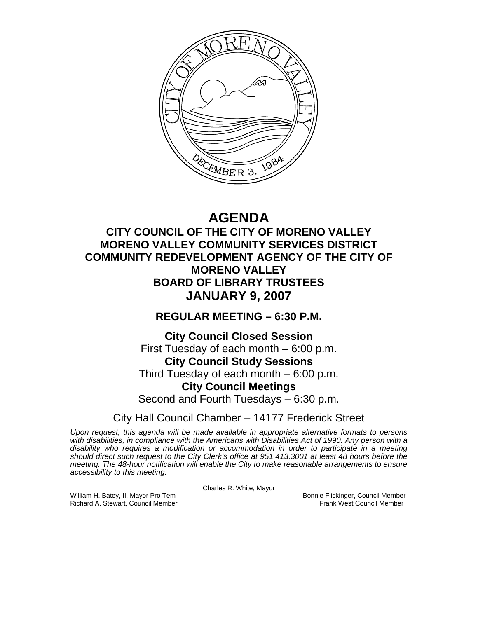

# **AGENDA**

# **CITY COUNCIL OF THE CITY OF MORENO VALLEY MORENO VALLEY COMMUNITY SERVICES DISTRICT COMMUNITY REDEVELOPMENT AGENCY OF THE CITY OF MORENO VALLEY BOARD OF LIBRARY TRUSTEES JANUARY 9, 2007**

# **REGULAR MEETING – 6:30 P.M.**

# **City Council Closed Session**  First Tuesday of each month – 6:00 p.m. **City Council Study Sessions**  Third Tuesday of each month – 6:00 p.m. **City Council Meetings**  Second and Fourth Tuesdays – 6:30 p.m.

City Hall Council Chamber – 14177 Frederick Street

*Upon request, this agenda will be made available in appropriate alternative formats to persons with disabilities, in compliance with the Americans with Disabilities Act of 1990. Any person with a disability who requires a modification or accommodation in order to participate in a meeting should direct such request to the City Clerk's office at 951.413.3001 at least 48 hours before the meeting. The 48-hour notification will enable the City to make reasonable arrangements to ensure accessibility to this meeting.* 

Charles R. White, Mayor

William H. Batey, II, Mayor Pro Tem Bonnie Flickinger, Council Member<br>Richard A. Stewart. Council Member Bonnie Frank West Council Member Richard A. Stewart, Council Member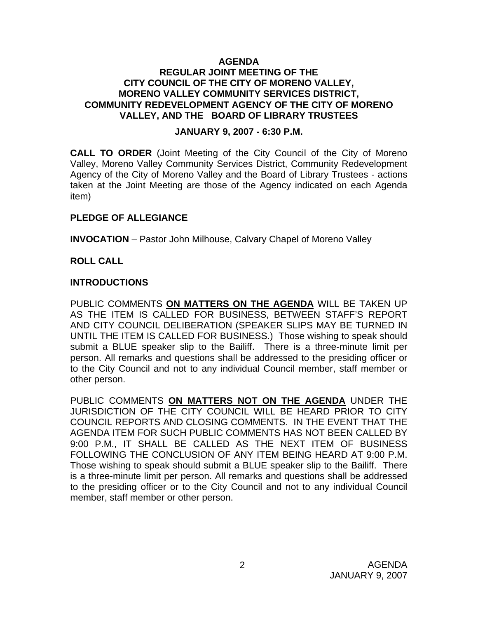#### **AGENDA REGULAR JOINT MEETING OF THE CITY COUNCIL OF THE CITY OF MORENO VALLEY, MORENO VALLEY COMMUNITY SERVICES DISTRICT, COMMUNITY REDEVELOPMENT AGENCY OF THE CITY OF MORENO VALLEY, AND THE BOARD OF LIBRARY TRUSTEES**

#### **JANUARY 9, 2007 - 6:30 P.M.**

**CALL TO ORDER** (Joint Meeting of the City Council of the City of Moreno Valley, Moreno Valley Community Services District, Community Redevelopment Agency of the City of Moreno Valley and the Board of Library Trustees - actions taken at the Joint Meeting are those of the Agency indicated on each Agenda item)

#### **PLEDGE OF ALLEGIANCE**

**INVOCATION** – Pastor John Milhouse, Calvary Chapel of Moreno Valley

#### **ROLL CALL**

#### **INTRODUCTIONS**

PUBLIC COMMENTS **ON MATTERS ON THE AGENDA** WILL BE TAKEN UP AS THE ITEM IS CALLED FOR BUSINESS, BETWEEN STAFF'S REPORT AND CITY COUNCIL DELIBERATION (SPEAKER SLIPS MAY BE TURNED IN UNTIL THE ITEM IS CALLED FOR BUSINESS.) Those wishing to speak should submit a BLUE speaker slip to the Bailiff. There is a three-minute limit per person. All remarks and questions shall be addressed to the presiding officer or to the City Council and not to any individual Council member, staff member or other person.

PUBLIC COMMENTS **ON MATTERS NOT ON THE AGENDA** UNDER THE JURISDICTION OF THE CITY COUNCIL WILL BE HEARD PRIOR TO CITY COUNCIL REPORTS AND CLOSING COMMENTS. IN THE EVENT THAT THE AGENDA ITEM FOR SUCH PUBLIC COMMENTS HAS NOT BEEN CALLED BY 9:00 P.M., IT SHALL BE CALLED AS THE NEXT ITEM OF BUSINESS FOLLOWING THE CONCLUSION OF ANY ITEM BEING HEARD AT 9:00 P.M. Those wishing to speak should submit a BLUE speaker slip to the Bailiff. There is a three-minute limit per person. All remarks and questions shall be addressed to the presiding officer or to the City Council and not to any individual Council member, staff member or other person.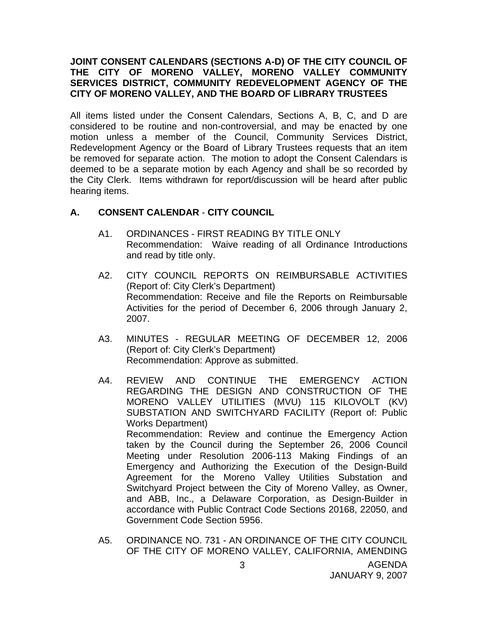#### **JOINT CONSENT CALENDARS (SECTIONS A-D) OF THE CITY COUNCIL OF THE CITY OF MORENO VALLEY, MORENO VALLEY COMMUNITY SERVICES DISTRICT, COMMUNITY REDEVELOPMENT AGENCY OF THE CITY OF MORENO VALLEY, AND THE BOARD OF LIBRARY TRUSTEES**

All items listed under the Consent Calendars, Sections A, B, C, and D are considered to be routine and non-controversial, and may be enacted by one motion unless a member of the Council, Community Services District, Redevelopment Agency or the Board of Library Trustees requests that an item be removed for separate action. The motion to adopt the Consent Calendars is deemed to be a separate motion by each Agency and shall be so recorded by the City Clerk. Items withdrawn for report/discussion will be heard after public hearing items.

## **A. CONSENT CALENDAR** - **CITY COUNCIL**

- A1. ORDINANCES FIRST READING BY TITLE ONLY Recommendation: Waive reading of all Ordinance Introductions and read by title only.
- A2. CITY COUNCIL REPORTS ON REIMBURSABLE ACTIVITIES (Report of: City Clerk's Department) Recommendation: Receive and file the Reports on Reimbursable Activities for the period of December 6, 2006 through January 2, 2007.
- A3. MINUTES REGULAR MEETING OF DECEMBER 12, 2006 (Report of: City Clerk's Department) Recommendation: Approve as submitted.
- A4. REVIEW AND CONTINUE THE EMERGENCY ACTION REGARDING THE DESIGN AND CONSTRUCTION OF THE MORENO VALLEY UTILITIES (MVU) 115 KILOVOLT (KV) SUBSTATION AND SWITCHYARD FACILITY (Report of: Public Works Department) Recommendation: Review and continue the Emergency Action taken by the Council during the September 26, 2006 Council Meeting under Resolution 2006-113 Making Findings of an Emergency and Authorizing the Execution of the Design-Build Agreement for the Moreno Valley Utilities Substation and Switchyard Project between the City of Moreno Valley, as Owner, and ABB, Inc., a Delaware Corporation, as Design-Builder in accordance with Public Contract Code Sections 20168, 22050, and Government Code Section 5956.
- A5. ORDINANCE NO. 731 AN ORDINANCE OF THE CITY COUNCIL OF THE CITY OF MORENO VALLEY, CALIFORNIA, AMENDING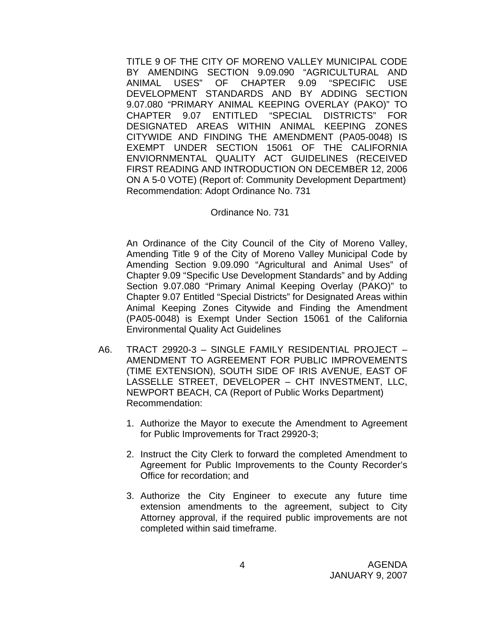TITLE 9 OF THE CITY OF MORENO VALLEY MUNICIPAL CODE BY AMENDING SECTION 9.09.090 "AGRICULTURAL AND ANIMAL USES" OF CHAPTER 9.09 "SPECIFIC USE DEVELOPMENT STANDARDS AND BY ADDING SECTION 9.07.080 "PRIMARY ANIMAL KEEPING OVERLAY (PAKO)" TO CHAPTER 9.07 ENTITLED "SPECIAL DISTRICTS" FOR DESIGNATED AREAS WITHIN ANIMAL KEEPING ZONES CITYWIDE AND FINDING THE AMENDMENT (PA05-0048) IS EXEMPT UNDER SECTION 15061 OF THE CALIFORNIA ENVIORNMENTAL QUALITY ACT GUIDELINES (RECEIVED FIRST READING AND INTRODUCTION ON DECEMBER 12, 2006 ON A 5-0 VOTE) (Report of: Community Development Department) Recommendation: Adopt Ordinance No. 731

#### Ordinance No. 731

 An Ordinance of the City Council of the City of Moreno Valley, Amending Title 9 of the City of Moreno Valley Municipal Code by Amending Section 9.09.090 "Agricultural and Animal Uses" of Chapter 9.09 "Specific Use Development Standards" and by Adding Section 9.07.080 "Primary Animal Keeping Overlay (PAKO)" to Chapter 9.07 Entitled "Special Districts" for Designated Areas within Animal Keeping Zones Citywide and Finding the Amendment (PA05-0048) is Exempt Under Section 15061 of the California Environmental Quality Act Guidelines

- A6. TRACT 29920-3 SINGLE FAMILY RESIDENTIAL PROJECT AMENDMENT TO AGREEMENT FOR PUBLIC IMPROVEMENTS (TIME EXTENSION), SOUTH SIDE OF IRIS AVENUE, EAST OF LASSELLE STREET, DEVELOPER – CHT INVESTMENT, LLC, NEWPORT BEACH, CA (Report of Public Works Department) Recommendation:
	- 1. Authorize the Mayor to execute the Amendment to Agreement for Public Improvements for Tract 29920-3;
	- 2. Instruct the City Clerk to forward the completed Amendment to Agreement for Public Improvements to the County Recorder's Office for recordation; and
	- 3. Authorize the City Engineer to execute any future time extension amendments to the agreement, subject to City Attorney approval, if the required public improvements are not completed within said timeframe.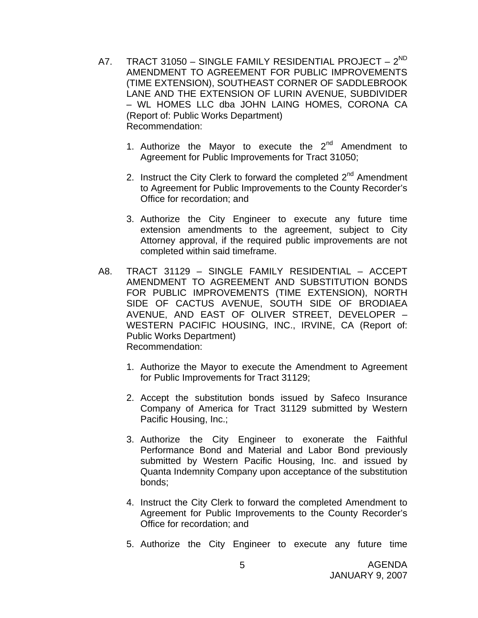- A7. TRACT 31050 SINGLE FAMILY RESIDENTIAL PROJECT 2<sup>ND</sup> AMENDMENT TO AGREEMENT FOR PUBLIC IMPROVEMENTS (TIME EXTENSION), SOUTHEAST CORNER OF SADDLEBROOK LANE AND THE EXTENSION OF LURIN AVENUE, SUBDIVIDER – WL HOMES LLC dba JOHN LAING HOMES, CORONA CA (Report of: Public Works Department) Recommendation:
	- 1. Authorize the Mayor to execute the  $2^{nd}$  Amendment to Agreement for Public Improvements for Tract 31050;
	- 2. Instruct the City Clerk to forward the completed  $2<sup>nd</sup>$  Amendment to Agreement for Public Improvements to the County Recorder's Office for recordation; and
	- 3. Authorize the City Engineer to execute any future time extension amendments to the agreement, subject to City Attorney approval, if the required public improvements are not completed within said timeframe.
- A8. TRACT 31129 SINGLE FAMILY RESIDENTIAL ACCEPT AMENDMENT TO AGREEMENT AND SUBSTITUTION BONDS FOR PUBLIC IMPROVEMENTS (TIME EXTENSION), NORTH SIDE OF CACTUS AVENUE, SOUTH SIDE OF BRODIAEA AVENUE, AND EAST OF OLIVER STREET, DEVELOPER – WESTERN PACIFIC HOUSING, INC., IRVINE, CA (Report of: Public Works Department) Recommendation:
	- 1. Authorize the Mayor to execute the Amendment to Agreement for Public Improvements for Tract 31129;
	- 2. Accept the substitution bonds issued by Safeco Insurance Company of America for Tract 31129 submitted by Western Pacific Housing, Inc.;
	- 3. Authorize the City Engineer to exonerate the Faithful Performance Bond and Material and Labor Bond previously submitted by Western Pacific Housing, Inc. and issued by Quanta Indemnity Company upon acceptance of the substitution bonds;
	- 4. Instruct the City Clerk to forward the completed Amendment to Agreement for Public Improvements to the County Recorder's Office for recordation; and
	- 5. Authorize the City Engineer to execute any future time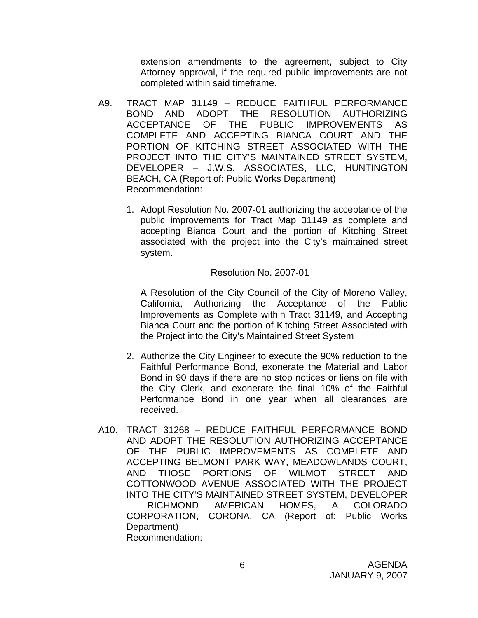extension amendments to the agreement, subject to City Attorney approval, if the required public improvements are not completed within said timeframe.

- A9. TRACT MAP 31149 REDUCE FAITHFUL PERFORMANCE BOND AND ADOPT THE RESOLUTION AUTHORIZING ACCEPTANCE OF THE PUBLIC IMPROVEMENTS AS COMPLETE AND ACCEPTING BIANCA COURT AND THE PORTION OF KITCHING STREET ASSOCIATED WITH THE PROJECT INTO THE CITY'S MAINTAINED STREET SYSTEM, DEVELOPER – J.W.S. ASSOCIATES, LLC, HUNTINGTON BEACH, CA (Report of: Public Works Department) Recommendation:
	- 1. Adopt Resolution No. 2007-01 authorizing the acceptance of the public improvements for Tract Map 31149 as complete and accepting Bianca Court and the portion of Kitching Street associated with the project into the City's maintained street system.

#### Resolution No. 2007-01

 A Resolution of the City Council of the City of Moreno Valley, California, Authorizing the Acceptance of the Public Improvements as Complete within Tract 31149, and Accepting Bianca Court and the portion of Kitching Street Associated with the Project into the City's Maintained Street System

- 2. Authorize the City Engineer to execute the 90% reduction to the Faithful Performance Bond, exonerate the Material and Labor Bond in 90 days if there are no stop notices or liens on file with the City Clerk, and exonerate the final 10% of the Faithful Performance Bond in one year when all clearances are received.
- A10. TRACT 31268 REDUCE FAITHFUL PERFORMANCE BOND AND ADOPT THE RESOLUTION AUTHORIZING ACCEPTANCE OF THE PUBLIC IMPROVEMENTS AS COMPLETE AND ACCEPTING BELMONT PARK WAY, MEADOWLANDS COURT, AND THOSE PORTIONS OF WILMOT STREET AND COTTONWOOD AVENUE ASSOCIATED WITH THE PROJECT INTO THE CITY'S MAINTAINED STREET SYSTEM, DEVELOPER – RICHMOND AMERICAN HOMES, A COLORADO CORPORATION, CORONA, CA (Report of: Public Works Department) Recommendation: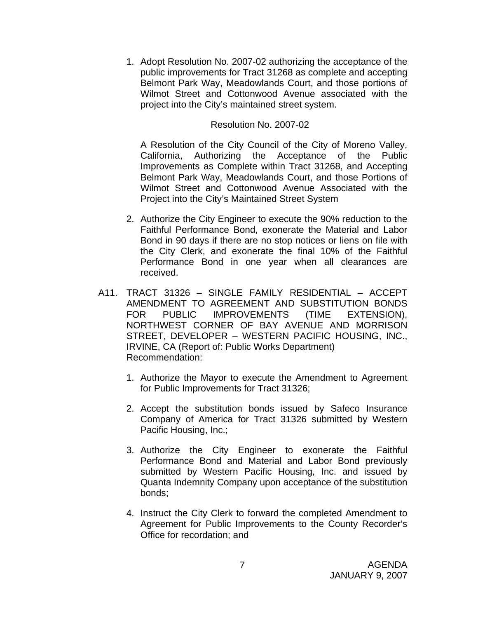1. Adopt Resolution No. 2007-02 authorizing the acceptance of the public improvements for Tract 31268 as complete and accepting Belmont Park Way, Meadowlands Court, and those portions of Wilmot Street and Cottonwood Avenue associated with the project into the City's maintained street system.

#### Resolution No. 2007-02

A Resolution of the City Council of the City of Moreno Valley, California, Authorizing the Acceptance of the Public Improvements as Complete within Tract 31268, and Accepting Belmont Park Way, Meadowlands Court, and those Portions of Wilmot Street and Cottonwood Avenue Associated with the Project into the City's Maintained Street System

- 2. Authorize the City Engineer to execute the 90% reduction to the Faithful Performance Bond, exonerate the Material and Labor Bond in 90 days if there are no stop notices or liens on file with the City Clerk, and exonerate the final 10% of the Faithful Performance Bond in one year when all clearances are received.
- A11. TRACT 31326 SINGLE FAMILY RESIDENTIAL ACCEPT AMENDMENT TO AGREEMENT AND SUBSTITUTION BONDS FOR PUBLIC IMPROVEMENTS (TIME EXTENSION), NORTHWEST CORNER OF BAY AVENUE AND MORRISON STREET, DEVELOPER – WESTERN PACIFIC HOUSING, INC., IRVINE, CA (Report of: Public Works Department) Recommendation:
	- 1. Authorize the Mayor to execute the Amendment to Agreement for Public Improvements for Tract 31326;
	- 2. Accept the substitution bonds issued by Safeco Insurance Company of America for Tract 31326 submitted by Western Pacific Housing, Inc.;
	- 3. Authorize the City Engineer to exonerate the Faithful Performance Bond and Material and Labor Bond previously submitted by Western Pacific Housing, Inc. and issued by Quanta Indemnity Company upon acceptance of the substitution bonds;
	- 4. Instruct the City Clerk to forward the completed Amendment to Agreement for Public Improvements to the County Recorder's Office for recordation; and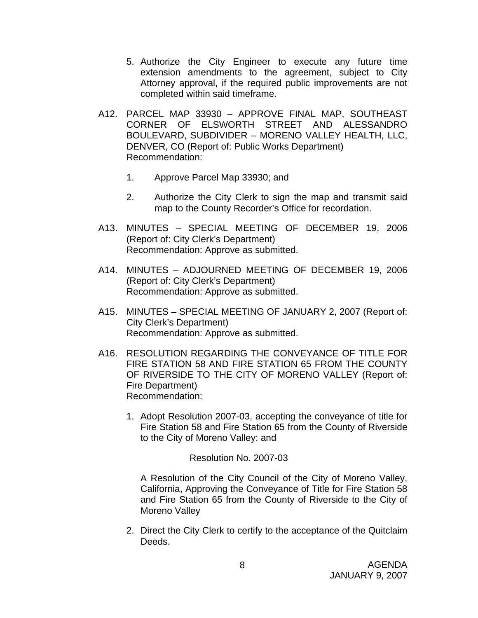- 5. Authorize the City Engineer to execute any future time extension amendments to the agreement, subject to City Attorney approval, if the required public improvements are not completed within said timeframe.
- A12. PARCEL MAP 33930 APPROVE FINAL MAP, SOUTHEAST CORNER OF ELSWORTH STREET AND ALESSANDRO BOULEVARD, SUBDIVIDER – MORENO VALLEY HEALTH, LLC, DENVER, CO (Report of: Public Works Department) Recommendation:
	- 1. Approve Parcel Map 33930; and
	- 2. Authorize the City Clerk to sign the map and transmit said map to the County Recorder's Office for recordation.
- A13. MINUTES SPECIAL MEETING OF DECEMBER 19, 2006 (Report of: City Clerk's Department) Recommendation: Approve as submitted.
- A14. MINUTES ADJOURNED MEETING OF DECEMBER 19, 2006 (Report of: City Clerk's Department) Recommendation: Approve as submitted.
- A15. MINUTES SPECIAL MEETING OF JANUARY 2, 2007 (Report of: City Clerk's Department) Recommendation: Approve as submitted.
- A16. RESOLUTION REGARDING THE CONVEYANCE OF TITLE FOR FIRE STATION 58 AND FIRE STATION 65 FROM THE COUNTY OF RIVERSIDE TO THE CITY OF MORENO VALLEY (Report of: Fire Department) Recommendation:
	- 1. Adopt Resolution 2007-03, accepting the conveyance of title for Fire Station 58 and Fire Station 65 from the County of Riverside to the City of Moreno Valley; and

Resolution No. 2007-03

A Resolution of the City Council of the City of Moreno Valley, California, Approving the Conveyance of Title for Fire Station 58 and Fire Station 65 from the County of Riverside to the City of Moreno Valley

2. Direct the City Clerk to certify to the acceptance of the Quitclaim Deeds.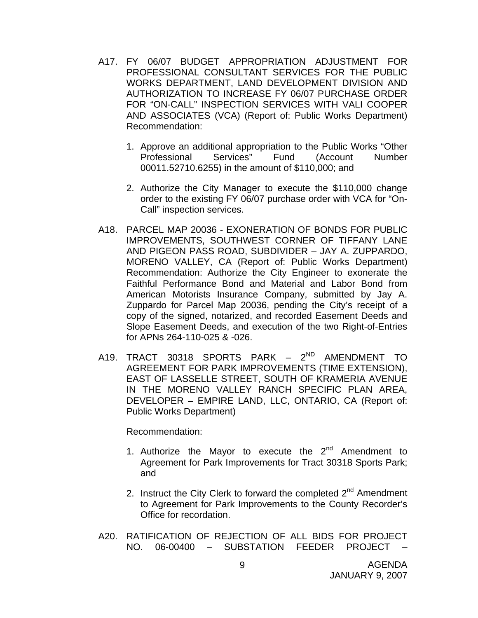- A17. FY 06/07 BUDGET APPROPRIATION ADJUSTMENT FOR PROFESSIONAL CONSULTANT SERVICES FOR THE PUBLIC WORKS DEPARTMENT, LAND DEVELOPMENT DIVISION AND AUTHORIZATION TO INCREASE FY 06/07 PURCHASE ORDER FOR "ON-CALL" INSPECTION SERVICES WITH VALI COOPER AND ASSOCIATES (VCA) (Report of: Public Works Department) Recommendation:
	- 1. Approve an additional appropriation to the Public Works "Other Professional Services" Fund (Account Number 00011.52710.6255) in the amount of \$110,000; and
	- 2. Authorize the City Manager to execute the \$110,000 change order to the existing FY 06/07 purchase order with VCA for "On-Call" inspection services.
- A18. PARCEL MAP 20036 EXONERATION OF BONDS FOR PUBLIC IMPROVEMENTS, SOUTHWEST CORNER OF TIFFANY LANE AND PIGEON PASS ROAD, SUBDIVIDER – JAY A. ZUPPARDO, MORENO VALLEY, CA (Report of: Public Works Department) Recommendation: Authorize the City Engineer to exonerate the Faithful Performance Bond and Material and Labor Bond from American Motorists Insurance Company, submitted by Jay A. Zuppardo for Parcel Map 20036, pending the City's receipt of a copy of the signed, notarized, and recorded Easement Deeds and Slope Easement Deeds, and execution of the two Right-of-Entries for APNs 264-110-025 & -026.
- A19. TRACT 30318 SPORTS PARK 2<sup>ND</sup> AMENDMENT TO AGREEMENT FOR PARK IMPROVEMENTS (TIME EXTENSION), EAST OF LASSELLE STREET, SOUTH OF KRAMERIA AVENUE IN THE MORENO VALLEY RANCH SPECIFIC PLAN AREA, DEVELOPER – EMPIRE LAND, LLC, ONTARIO, CA (Report of: Public Works Department)

Recommendation:

- 1. Authorize the Mayor to execute the  $2^{nd}$  Amendment to Agreement for Park Improvements for Tract 30318 Sports Park; and
- 2. Instruct the City Clerk to forward the completed  $2<sup>nd</sup>$  Amendment to Agreement for Park Improvements to the County Recorder's Office for recordation.
- A20. RATIFICATION OF REJECTION OF ALL BIDS FOR PROJECT NO. 06-00400 – SUBSTATION FEEDER PROJECT –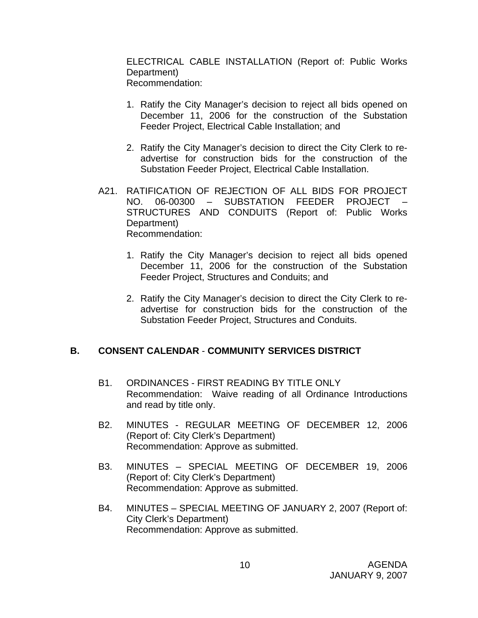ELECTRICAL CABLE INSTALLATION (Report of: Public Works Department) Recommendation:

- 1. Ratify the City Manager's decision to reject all bids opened on December 11, 2006 for the construction of the Substation Feeder Project, Electrical Cable Installation; and
- 2. Ratify the City Manager's decision to direct the City Clerk to readvertise for construction bids for the construction of the Substation Feeder Project, Electrical Cable Installation.
- A21. RATIFICATION OF REJECTION OF ALL BIDS FOR PROJECT NO. 06-00300 - SUBSTATION FEEDER PROJECT STRUCTURES AND CONDUITS (Report of: Public Works Department) Recommendation:
	- 1. Ratify the City Manager's decision to reject all bids opened December 11, 2006 for the construction of the Substation Feeder Project, Structures and Conduits; and
	- 2. Ratify the City Manager's decision to direct the City Clerk to readvertise for construction bids for the construction of the Substation Feeder Project, Structures and Conduits.

# **B. CONSENT CALENDAR** - **COMMUNITY SERVICES DISTRICT**

- B1. ORDINANCES FIRST READING BY TITLE ONLY Recommendation: Waive reading of all Ordinance Introductions and read by title only.
- B2. MINUTES REGULAR MEETING OF DECEMBER 12, 2006 (Report of: City Clerk's Department) Recommendation: Approve as submitted.
- B3. MINUTES SPECIAL MEETING OF DECEMBER 19, 2006 (Report of: City Clerk's Department) Recommendation: Approve as submitted.
- B4. MINUTES SPECIAL MEETING OF JANUARY 2, 2007 (Report of: City Clerk's Department) Recommendation: Approve as submitted.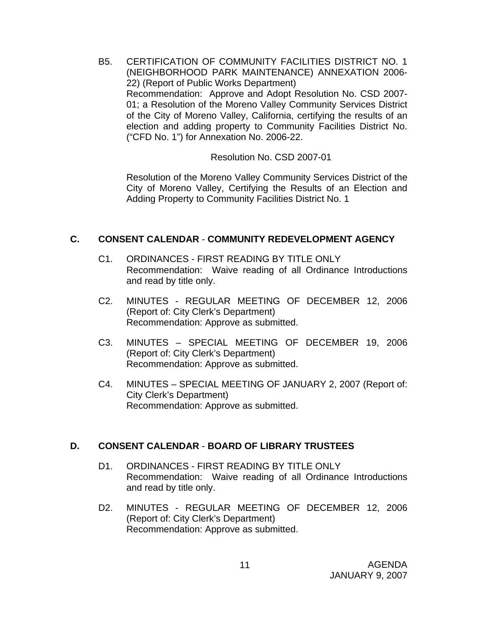B5. CERTIFICATION OF COMMUNITY FACILITIES DISTRICT NO. 1 (NEIGHBORHOOD PARK MAINTENANCE) ANNEXATION 2006- 22) (Report of Public Works Department) Recommendation: Approve and Adopt Resolution No. CSD 2007- 01; a Resolution of the Moreno Valley Community Services District of the City of Moreno Valley, California, certifying the results of an election and adding property to Community Facilities District No. ("CFD No. 1") for Annexation No. 2006-22.

Resolution No. CSD 2007-01

 Resolution of the Moreno Valley Community Services District of the City of Moreno Valley, Certifying the Results of an Election and Adding Property to Community Facilities District No. 1

## **C. CONSENT CALENDAR** - **COMMUNITY REDEVELOPMENT AGENCY**

- C1. ORDINANCES FIRST READING BY TITLE ONLY Recommendation: Waive reading of all Ordinance Introductions and read by title only.
- C2. MINUTES REGULAR MEETING OF DECEMBER 12, 2006 (Report of: City Clerk's Department) Recommendation: Approve as submitted.
- C3. MINUTES SPECIAL MEETING OF DECEMBER 19, 2006 (Report of: City Clerk's Department) Recommendation: Approve as submitted.
- C4. MINUTES SPECIAL MEETING OF JANUARY 2, 2007 (Report of: City Clerk's Department) Recommendation: Approve as submitted.

# **D. CONSENT CALENDAR** - **BOARD OF LIBRARY TRUSTEES**

- D1. ORDINANCES FIRST READING BY TITLE ONLY Recommendation: Waive reading of all Ordinance Introductions and read by title only.
- D2. MINUTES REGULAR MEETING OF DECEMBER 12, 2006 (Report of: City Clerk's Department) Recommendation: Approve as submitted.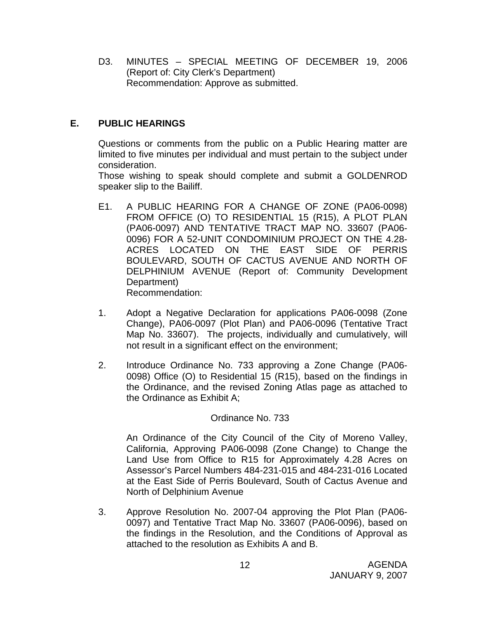D3. MINUTES – SPECIAL MEETING OF DECEMBER 19, 2006 (Report of: City Clerk's Department) Recommendation: Approve as submitted.

# **E. PUBLIC HEARINGS**

Questions or comments from the public on a Public Hearing matter are limited to five minutes per individual and must pertain to the subject under consideration.

 Those wishing to speak should complete and submit a GOLDENROD speaker slip to the Bailiff.

- E1. A PUBLIC HEARING FOR A CHANGE OF ZONE (PA06-0098) FROM OFFICE (O) TO RESIDENTIAL 15 (R15), A PLOT PLAN (PA06-0097) AND TENTATIVE TRACT MAP NO. 33607 (PA06- 0096) FOR A 52-UNIT CONDOMINIUM PROJECT ON THE 4.28- ACRES LOCATED ON THE EAST SIDE OF PERRIS BOULEVARD, SOUTH OF CACTUS AVENUE AND NORTH OF DELPHINIUM AVENUE (Report of: Community Development Department) Recommendation:
- 1. Adopt a Negative Declaration for applications PA06-0098 (Zone Change), PA06-0097 (Plot Plan) and PA06-0096 (Tentative Tract Map No. 33607). The projects, individually and cumulatively, will not result in a significant effect on the environment;
- 2. Introduce Ordinance No. 733 approving a Zone Change (PA06- 0098) Office (O) to Residential 15 (R15), based on the findings in the Ordinance, and the revised Zoning Atlas page as attached to the Ordinance as Exhibit A;

#### Ordinance No. 733

An Ordinance of the City Council of the City of Moreno Valley, California, Approving PA06-0098 (Zone Change) to Change the Land Use from Office to R15 for Approximately 4.28 Acres on Assessor's Parcel Numbers 484-231-015 and 484-231-016 Located at the East Side of Perris Boulevard, South of Cactus Avenue and North of Delphinium Avenue

3. Approve Resolution No. 2007-04 approving the Plot Plan (PA06- 0097) and Tentative Tract Map No. 33607 (PA06-0096), based on the findings in the Resolution, and the Conditions of Approval as attached to the resolution as Exhibits A and B.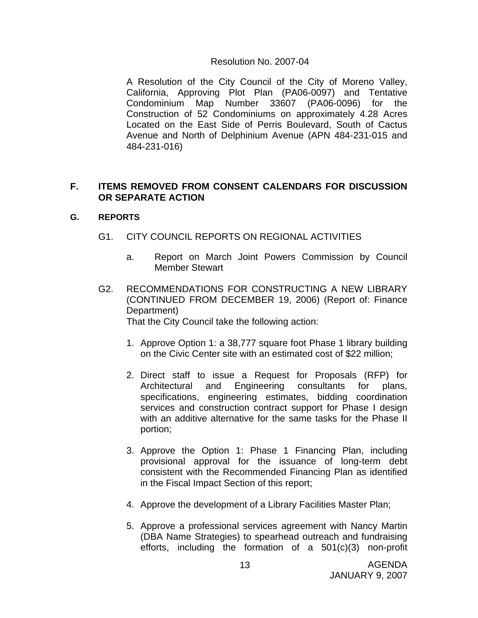#### Resolution No. 2007-04

 A Resolution of the City Council of the City of Moreno Valley, California, Approving Plot Plan (PA06-0097) and Tentative Condominium Map Number 33607 (PA06-0096) for the Construction of 52 Condominiums on approximately 4.28 Acres Located on the East Side of Perris Boulevard, South of Cactus Avenue and North of Delphinium Avenue (APN 484-231-015 and 484-231-016)

## **F. ITEMS REMOVED FROM CONSENT CALENDARS FOR DISCUSSION OR SEPARATE ACTION**

#### **G. REPORTS**

- G1. CITY COUNCIL REPORTS ON REGIONAL ACTIVITIES
	- a. Report on March Joint Powers Commission by Council Member Stewart
- G2. RECOMMENDATIONS FOR CONSTRUCTING A NEW LIBRARY (CONTINUED FROM DECEMBER 19, 2006) (Report of: Finance Department) That the City Council take the following action:
	- 1. Approve Option 1: a 38,777 square foot Phase 1 library building on the Civic Center site with an estimated cost of \$22 million;
	- 2. Direct staff to issue a Request for Proposals (RFP) for Architectural and Engineering consultants for plans, specifications, engineering estimates, bidding coordination services and construction contract support for Phase I design with an additive alternative for the same tasks for the Phase II portion;
	- 3. Approve the Option 1: Phase 1 Financing Plan, including provisional approval for the issuance of long-term debt consistent with the Recommended Financing Plan as identified in the Fiscal Impact Section of this report;
	- 4. Approve the development of a Library Facilities Master Plan;
	- 5. Approve a professional services agreement with Nancy Martin (DBA Name Strategies) to spearhead outreach and fundraising efforts, including the formation of a 501(c)(3) non-profit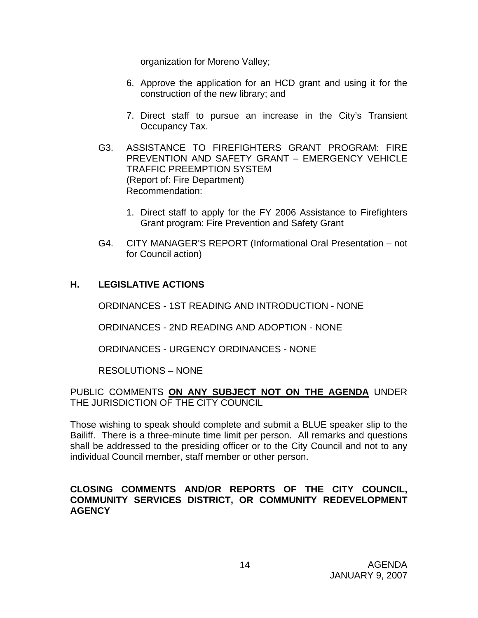organization for Moreno Valley;

- 6. Approve the application for an HCD grant and using it for the construction of the new library; and
- 7. Direct staff to pursue an increase in the City's Transient Occupancy Tax.
- G3. ASSISTANCE TO FIREFIGHTERS GRANT PROGRAM: FIRE PREVENTION AND SAFETY GRANT – EMERGENCY VEHICLE TRAFFIC PREEMPTION SYSTEM (Report of: Fire Department) Recommendation:
	- 1. Direct staff to apply for the FY 2006 Assistance to Firefighters Grant program: Fire Prevention and Safety Grant
- G4. CITY MANAGER'S REPORT (Informational Oral Presentation not for Council action)

# **H. LEGISLATIVE ACTIONS**

ORDINANCES - 1ST READING AND INTRODUCTION - NONE

ORDINANCES - 2ND READING AND ADOPTION - NONE

ORDINANCES - URGENCY ORDINANCES - NONE

RESOLUTIONS – NONE

## PUBLIC COMMENTS **ON ANY SUBJECT NOT ON THE AGENDA** UNDER THE JURISDICTION OF THE CITY COUNCIL

Those wishing to speak should complete and submit a BLUE speaker slip to the Bailiff. There is a three-minute time limit per person. All remarks and questions shall be addressed to the presiding officer or to the City Council and not to any individual Council member, staff member or other person.

#### **CLOSING COMMENTS AND/OR REPORTS OF THE CITY COUNCIL, COMMUNITY SERVICES DISTRICT, OR COMMUNITY REDEVELOPMENT AGENCY**